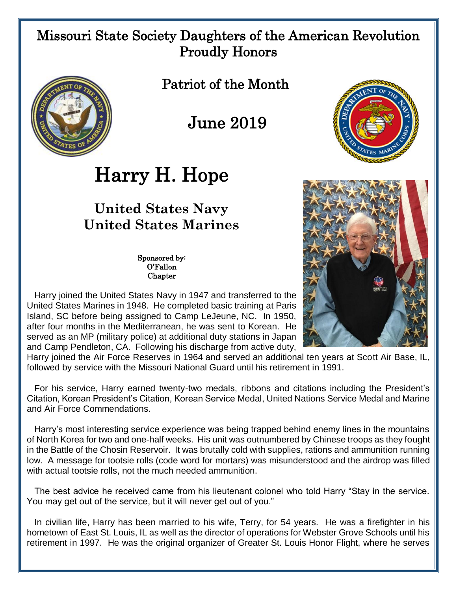## Missouri State Society Daughters of the American Revolution Proudly Honors



Patriot of the Month

## June 2019

## Harry H. Hope

## **United States Navy United States Marines**

Sponsored by: O'Fallon **Chapter** 

 Harry joined the United States Navy in 1947 and transferred to the United States Marines in 1948. He completed basic training at Paris Island, SC before being assigned to Camp LeJeune, NC. In 1950, after four months in the Mediterranean, he was sent to Korean. He served as an MP (military police) at additional duty stations in Japan and Camp Pendleton, CA. Following his discharge from active duty,

Harry joined the Air Force Reserves in 1964 and served an additional ten years at Scott Air Base, IL, followed by service with the Missouri National Guard until his retirement in 1991.

 For his service, Harry earned twenty-two medals, ribbons and citations including the President's Citation, Korean President's Citation, Korean Service Medal, United Nations Service Medal and Marine and Air Force Commendations.

 Harry's most interesting service experience was being trapped behind enemy lines in the mountains of North Korea for two and one-half weeks. His unit was outnumbered by Chinese troops as they fought in the Battle of the Chosin Reservoir. It was brutally cold with supplies, rations and ammunition running low. A message for tootsie rolls (code word for mortars) was misunderstood and the airdrop was filled with actual tootsie rolls, not the much needed ammunition.

 The best advice he received came from his lieutenant colonel who told Harry "Stay in the service. You may get out of the service, but it will never get out of you."

 In civilian life, Harry has been married to his wife, Terry, for 54 years. He was a firefighter in his hometown of East St. Louis, IL as well as the director of operations for Webster Grove Schools until his retirement in 1997. He was the original organizer of Greater St. Louis Honor Flight, where he serves